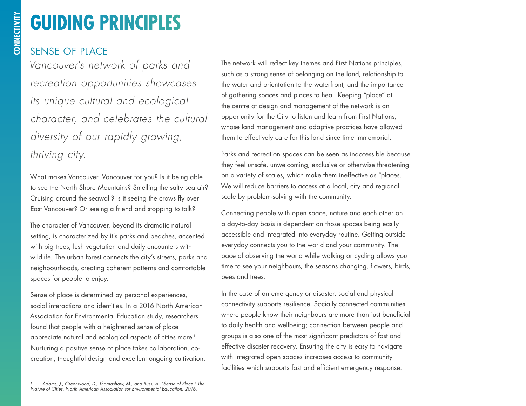# **GUIDING PRINCIPLES**

### SENSE OF PLACE

*Vancouver's network of parks and recreation opportunities showcases its unique cultural and ecological character, and celebrates the cultural diversity of our rapidly growing, thriving city.* 

What makes Vancouver, Vancouver for you? Is it being able to see the North Shore Mountains? Smelling the salty sea air? Cruising around the seawall? Is it seeing the crows fly over East Vancouver? Or seeing a friend and stopping to talk?

The character of Vancouver, beyond its dramatic natural setting, is characterized by it's parks and beaches, accented with big trees, lush vegetation and daily encounters with wildlife. The urban forest connects the city's streets, parks and neighbourhoods, creating coherent patterns and comfortable spaces for people to enjoy.

Sense of place is determined by personal experiences, social interactions and identities. In a 2016 North American Association for Environmental Education study, researchers found that people with a heightened sense of place appreciate natural and ecological aspects of cities more.<sup>1</sup> Nurturing a positive sense of place takes collaboration, cocreation, thoughtful design and excellent ongoing cultivation. The network will reflect key themes and First Nations principles, such as a strong sense of belonging on the land, relationship to the water and orientation to the waterfront, and the importance of gathering spaces and places to heal. Keeping "place" at the centre of design and management of the network is an opportunity for the City to listen and learn from First Nations, whose land management and adaptive practices have allowed them to effectively care for this land since time immemorial.

Parks and recreation spaces can be seen as inaccessible because they feel unsafe, unwelcoming, exclusive or otherwise threatening on a variety of scales, which make them ineffective as "places." We will reduce barriers to access at a local, city and regional scale by problem-solving with the community.

Connecting people with open space, nature and each other on a day-to-day basis is dependent on those spaces being easily accessible and integrated into everyday routine. Getting outside everyday connects you to the world and your community. The pace of observing the world while walking or cycling allows you time to see your neighbours, the seasons changing, flowers, birds, bees and trees.

In the case of an emergency or disaster, social and physical connectivity supports resilience. Socially connected communities where people know their neighbours are more than just beneficial to daily health and wellbeing; connection between people and groups is also one of the most significant predictors of fast and effective disaster recovery. Ensuring the city is easy to navigate with integrated open spaces increases access to community facilities which supports fast and efficient emergency response.

*<sup>1</sup> Adams, J., Greenwood, D., Thomashow, M., and Russ, A. "Sense of Place." The Nature of Cities. North American Association for Environmental Education. 2016.*